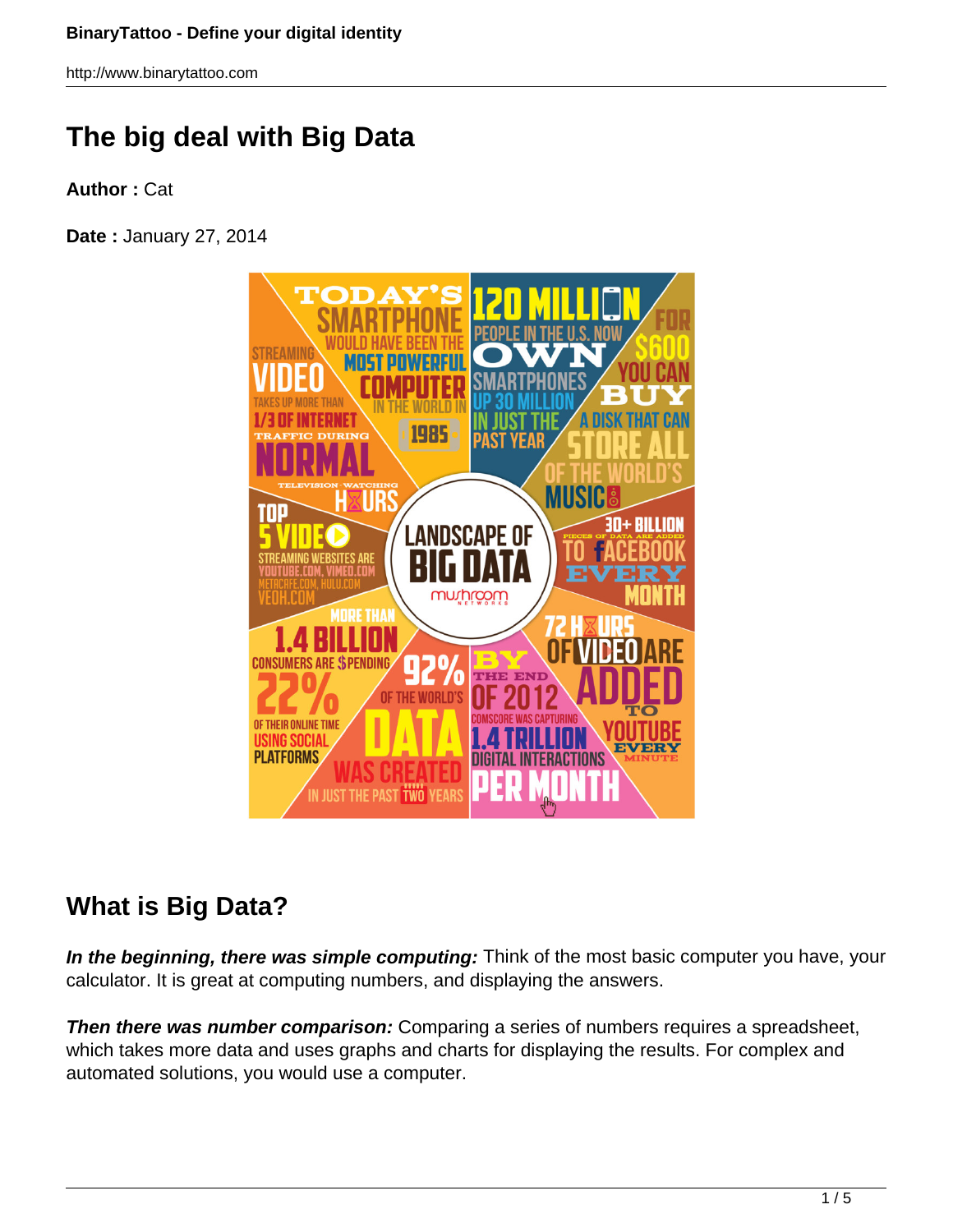# **The big deal with Big Data**

**Author :** Cat

**Date :** January 27, 2014



## **What is Big Data?**

**In the beginning, there was simple computing:** Think of the most basic computer you have, your calculator. It is great at computing numbers, and displaying the answers.

**Then there was number comparison:** Comparing a series of numbers requires a spreadsheet, which takes more data and uses graphs and charts for displaying the results. For complex and automated solutions, you would use a computer.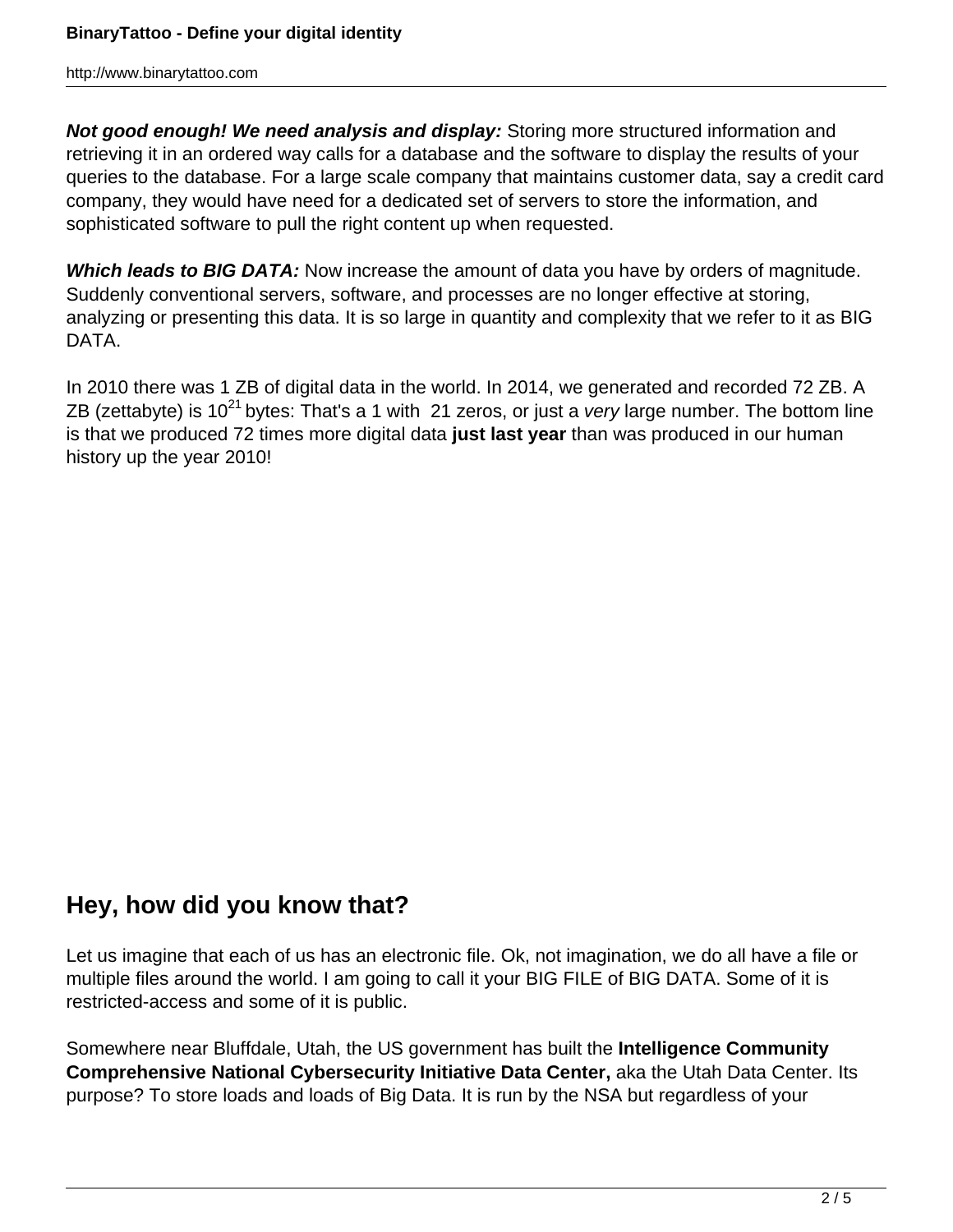**Not good enough! We need analysis and display:** Storing more structured information and retrieving it in an ordered way calls for a database and the software to display the results of your queries to the database. For a large scale company that maintains customer data, say a credit card company, they would have need for a dedicated set of servers to store the information, and sophisticated software to pull the right content up when requested.

**Which leads to BIG DATA:** Now increase the amount of data you have by orders of magnitude. Suddenly conventional servers, software, and processes are no longer effective at storing, analyzing or presenting this data. It is so large in quantity and complexity that we refer to it as BIG DATA.

In 2010 there was 1 ZB of digital data in the world. In 2014, we generated and recorded 72 ZB. A ZB (zettabyte) is  $10^{21}$  bytes: That's a 1 with 21 zeros, or just a very large number. The bottom line is that we produced 72 times more digital data **just last year** than was produced in our human history up the year 2010!

#### **Hey, how did you know that?**

Let us imagine that each of us has an electronic file. Ok, not imagination, we do all have a file or multiple files around the world. I am going to call it your BIG FILE of BIG DATA. Some of it is restricted-access and some of it is public.

Somewhere near Bluffdale, Utah, the US government has built the **Intelligence Community Comprehensive National Cybersecurity Initiative Data Center,** aka the Utah Data Center. Its purpose? To store loads and loads of Big Data. It is run by the NSA but regardless of your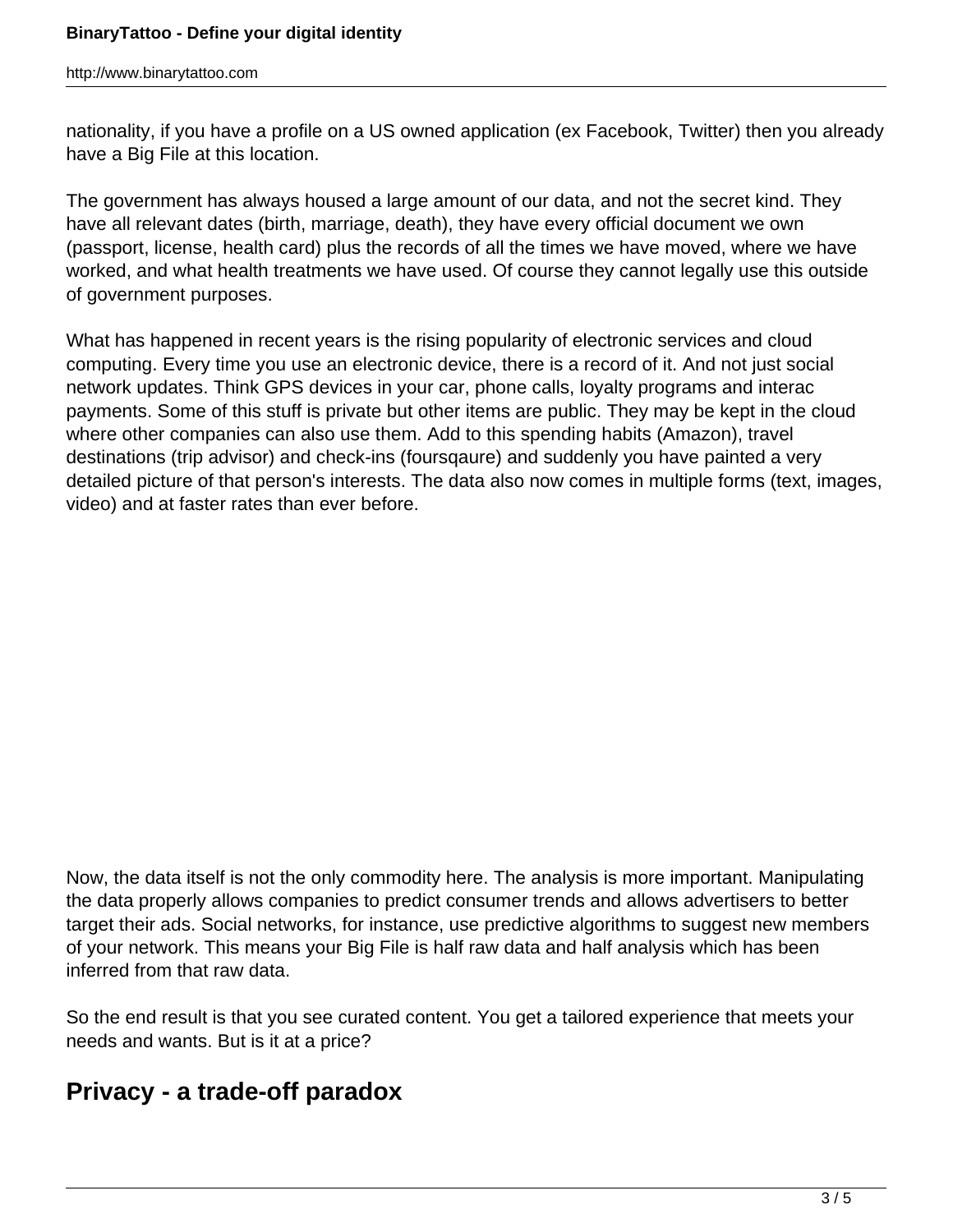nationality, if you have a profile on a US owned application (ex Facebook, Twitter) then you already have a Big File at this location.

The government has always housed a large amount of our data, and not the secret kind. They have all relevant dates (birth, marriage, death), they have every official document we own (passport, license, health card) plus the records of all the times we have moved, where we have worked, and what health treatments we have used. Of course they cannot legally use this outside of government purposes.

What has happened in recent years is the rising popularity of electronic services and cloud computing. Every time you use an electronic device, there is a record of it. And not just social network updates. Think GPS devices in your car, phone calls, loyalty programs and interac payments. Some of this stuff is private but other items are public. They may be kept in the cloud where other companies can also use them. Add to this spending habits (Amazon), travel destinations (trip advisor) and check-ins (foursqaure) and suddenly you have painted a very detailed picture of that person's interests. The data also now comes in multiple forms (text, images, video) and at faster rates than ever before.

Now, the data itself is not the only commodity here. The analysis is more important. Manipulating the data properly allows companies to predict consumer trends and allows advertisers to better target their ads. Social networks, for instance, use predictive algorithms to suggest new members of your network. This means your Big File is half raw data and half analysis which has been inferred from that raw data.

So the end result is that you see curated content. You get a tailored experience that meets your needs and wants. But is it at a price?

#### **Privacy - a trade-off paradox**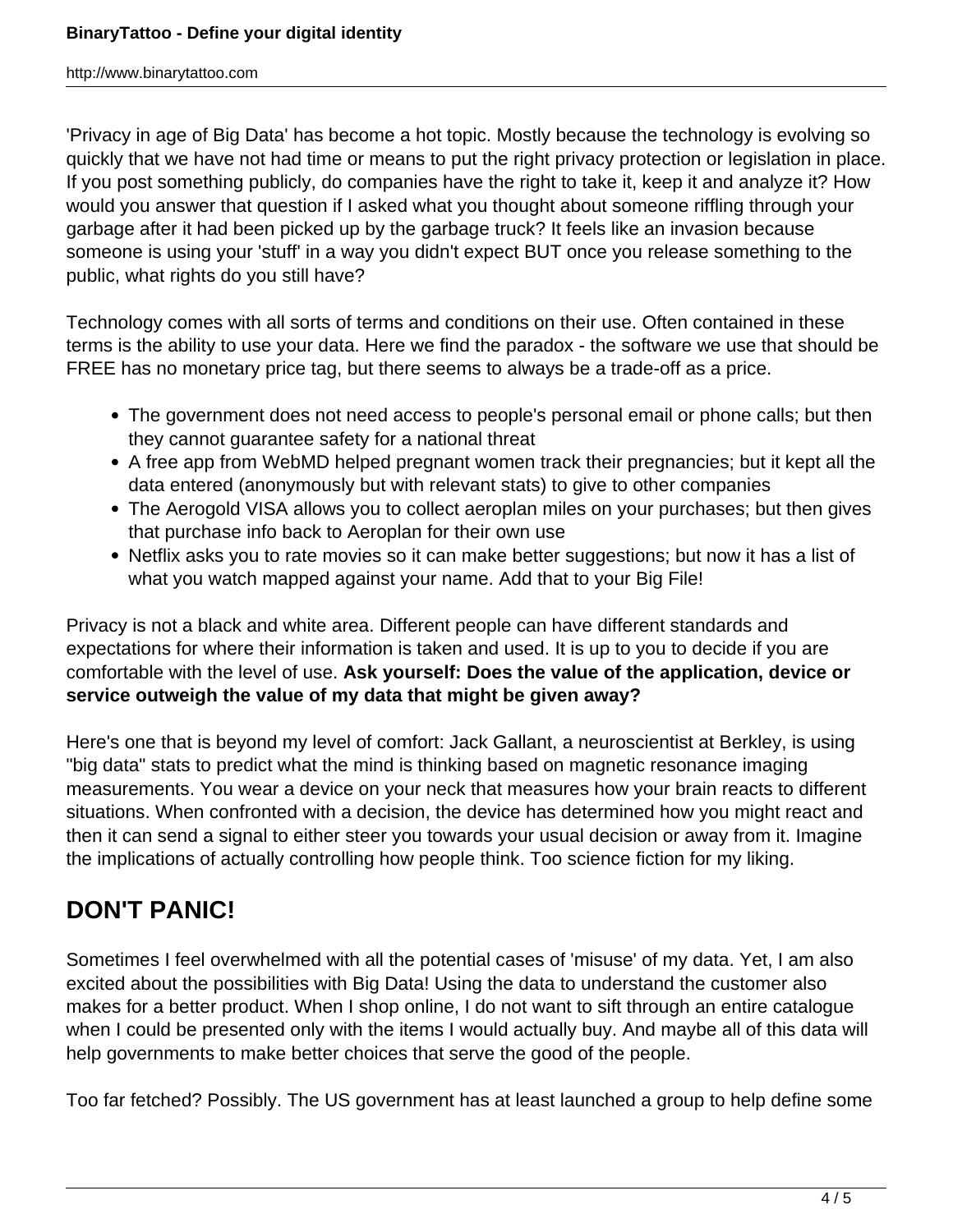'Privacy in age of Big Data' has become a hot topic. Mostly because the technology is evolving so quickly that we have not had time or means to put the right privacy protection or legislation in place. If you post something publicly, do companies have the right to take it, keep it and analyze it? How would you answer that question if I asked what you thought about someone riffling through your garbage after it had been picked up by the garbage truck? It feels like an invasion because someone is using your 'stuff' in a way you didn't expect BUT once you release something to the public, what rights do you still have?

Technology comes with all sorts of terms and conditions on their use. Often contained in these terms is the ability to use your data. Here we find the paradox - the software we use that should be FREE has no monetary price tag, but there seems to always be a trade-off as a price.

- The government does not need access to people's personal email or phone calls; but then they cannot guarantee safety for a national threat
- A free app from WebMD helped pregnant women track their pregnancies; but it kept all the data entered (anonymously but with relevant stats) to give to other companies
- The Aerogold VISA allows you to collect aeroplan miles on your purchases; but then gives that purchase info back to Aeroplan for their own use
- Netflix asks you to rate movies so it can make better suggestions; but now it has a list of what you watch mapped against your name. Add that to your Big File!

Privacy is not a black and white area. Different people can have different standards and expectations for where their information is taken and used. It is up to you to decide if you are comfortable with the level of use. **Ask yourself: Does the value of the application, device or service outweigh the value of my data that might be given away?**

Here's one that is beyond my level of comfort: Jack Gallant, a neuroscientist at Berkley, is using "big data" stats to predict what the mind is thinking based on magnetic resonance imaging measurements. You wear a device on your neck that measures how your brain reacts to different situations. When confronted with a decision, the device has determined how you might react and then it can send a signal to either steer you towards your usual decision or away from it. Imagine the implications of actually controlling how people think. Too science fiction for my liking.

## **DON'T PANIC!**

Sometimes I feel overwhelmed with all the potential cases of 'misuse' of my data. Yet, I am also excited about the possibilities with Big Data! Using the data to understand the customer also makes for a better product. When I shop online, I do not want to sift through an entire catalogue when I could be presented only with the items I would actually buy. And maybe all of this data will help governments to make better choices that serve the good of the people.

Too far fetched? Possibly. The US government has at least launched a group to help define some